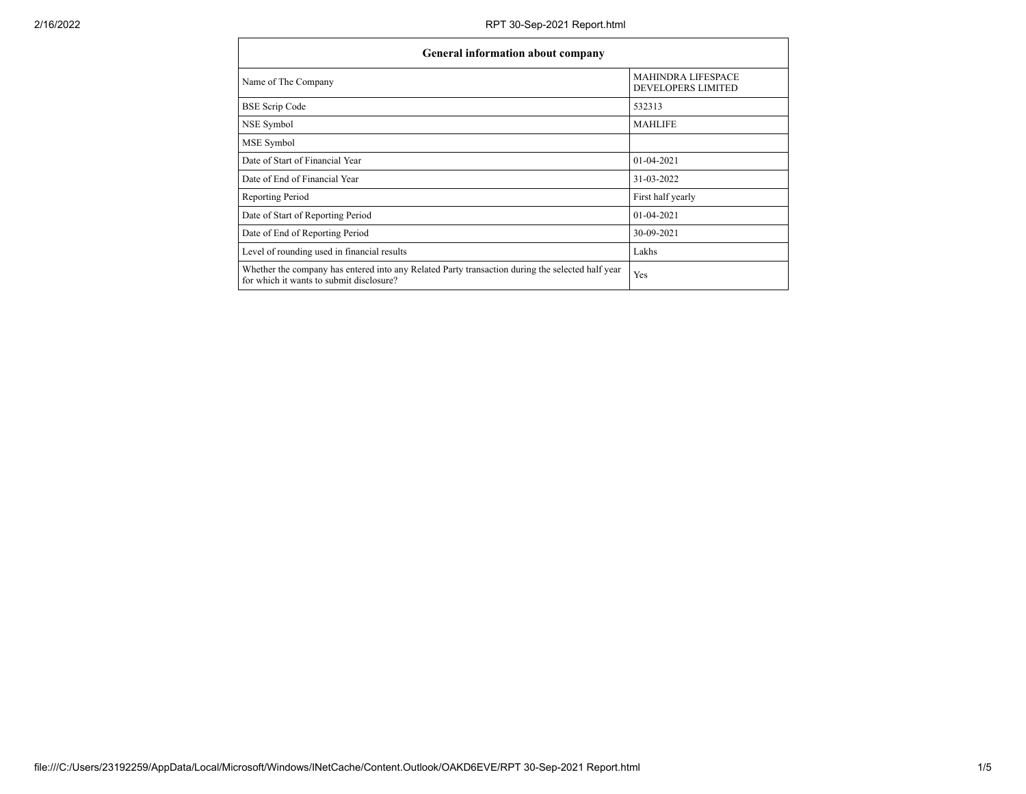| <b>General information about company</b>                                                                                                     |                                                 |  |  |  |  |
|----------------------------------------------------------------------------------------------------------------------------------------------|-------------------------------------------------|--|--|--|--|
| Name of The Company                                                                                                                          | <b>MAHINDRA LIFESPACE</b><br>DEVELOPERS LIMITED |  |  |  |  |
| <b>BSE Scrip Code</b>                                                                                                                        | 532313                                          |  |  |  |  |
| NSE Symbol                                                                                                                                   | <b>MAHLIFE</b>                                  |  |  |  |  |
| MSE Symbol                                                                                                                                   |                                                 |  |  |  |  |
| Date of Start of Financial Year                                                                                                              | $01-04-2021$                                    |  |  |  |  |
| Date of End of Financial Year                                                                                                                | 31-03-2022                                      |  |  |  |  |
| Reporting Period                                                                                                                             | First half yearly                               |  |  |  |  |
| Date of Start of Reporting Period                                                                                                            | $01-04-2021$                                    |  |  |  |  |
| Date of End of Reporting Period                                                                                                              | 30-09-2021                                      |  |  |  |  |
| Level of rounding used in financial results                                                                                                  | Lakhs                                           |  |  |  |  |
| Whether the company has entered into any Related Party transaction during the selected half year<br>for which it wants to submit disclosure? | Yes                                             |  |  |  |  |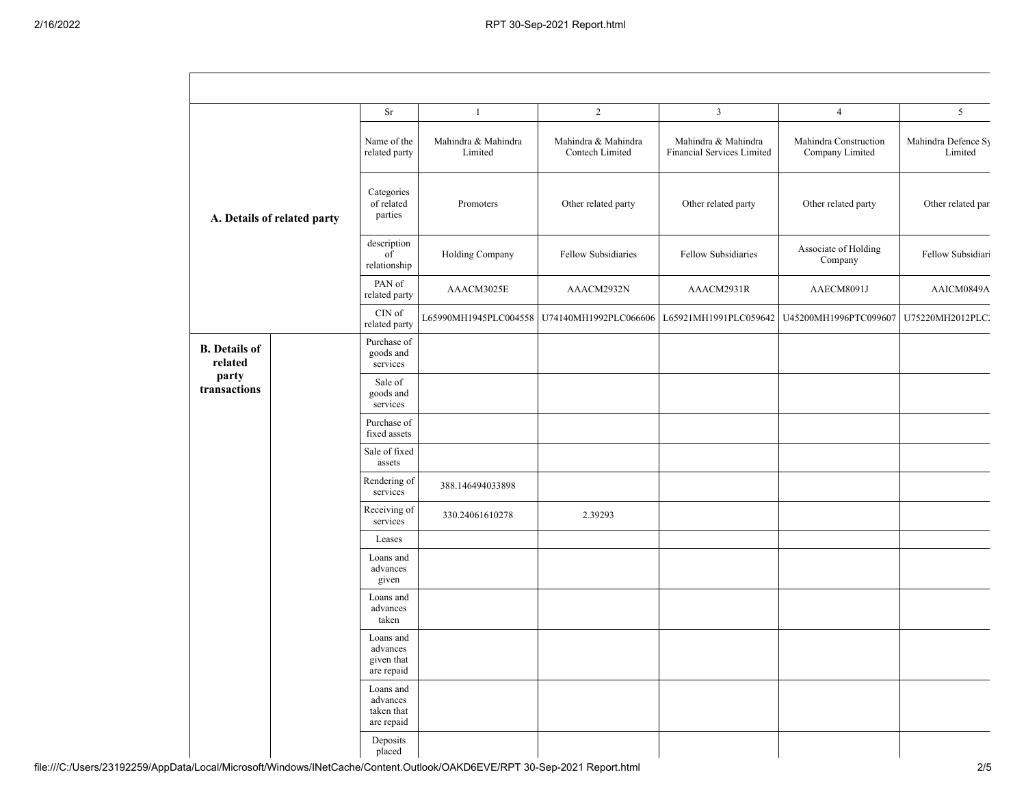|                                                          |  | Sr                                                | $\mathbf{1}$                   | $\overline{2}$                         | $\mathbf{3}$                                      | $\overline{4}$                           | 5                              |
|----------------------------------------------------------|--|---------------------------------------------------|--------------------------------|----------------------------------------|---------------------------------------------------|------------------------------------------|--------------------------------|
| A. Details of related party                              |  | Name of the<br>related party                      | Mahindra & Mahindra<br>Limited | Mahindra & Mahindra<br>Contech Limited | Mahindra & Mahindra<br>Financial Services Limited | Mahindra Construction<br>Company Limited | Mahindra Defence Sy<br>Limited |
|                                                          |  | Categories<br>of related<br>parties               | Promoters                      | Other related party                    | Other related party                               | Other related party                      | Other related par              |
|                                                          |  | description<br>$\vec{f}$<br>relationship          | Holding Company                | Fellow Subsidiaries                    | Fellow Subsidiaries                               | Associate of Holding<br>Company          | Fellow Subsidiari              |
|                                                          |  | PAN of<br>related party                           | AAACM3025E                     | AAACM2932N                             | AAACM2931R                                        | AAECM8091J                               | AAICM0849A                     |
|                                                          |  | $\mathop{\rm CIN}\nolimits$ of<br>related party   | L65990MH1945PLC004558          | U74140MH1992PLC066606                  | L65921MH1991PLC059642                             | U45200MH1996PTC099607                    | U75220MH2012PLC2               |
| <b>B.</b> Details of<br>related<br>party<br>transactions |  | Purchase of<br>goods and<br>services              |                                |                                        |                                                   |                                          |                                |
|                                                          |  | Sale of<br>goods and<br>services                  |                                |                                        |                                                   |                                          |                                |
|                                                          |  | Purchase of<br>fixed assets                       |                                |                                        |                                                   |                                          |                                |
|                                                          |  | Sale of fixed<br>assets                           |                                |                                        |                                                   |                                          |                                |
|                                                          |  | Rendering of<br>services                          | 388.146494033898               |                                        |                                                   |                                          |                                |
|                                                          |  | Receiving of<br>services                          | 330.24061610278                | 2.39293                                |                                                   |                                          |                                |
|                                                          |  | Leases                                            |                                |                                        |                                                   |                                          |                                |
|                                                          |  | Loans and<br>advances<br>given                    |                                |                                        |                                                   |                                          |                                |
|                                                          |  | Loans and<br>advances<br>taken                    |                                |                                        |                                                   |                                          |                                |
|                                                          |  | Loans and<br>advances<br>given that<br>are repaid |                                |                                        |                                                   |                                          |                                |
|                                                          |  | Loans and<br>advances<br>taken that<br>are repaid |                                |                                        |                                                   |                                          |                                |
|                                                          |  | Deposits<br>placed                                |                                |                                        |                                                   |                                          |                                |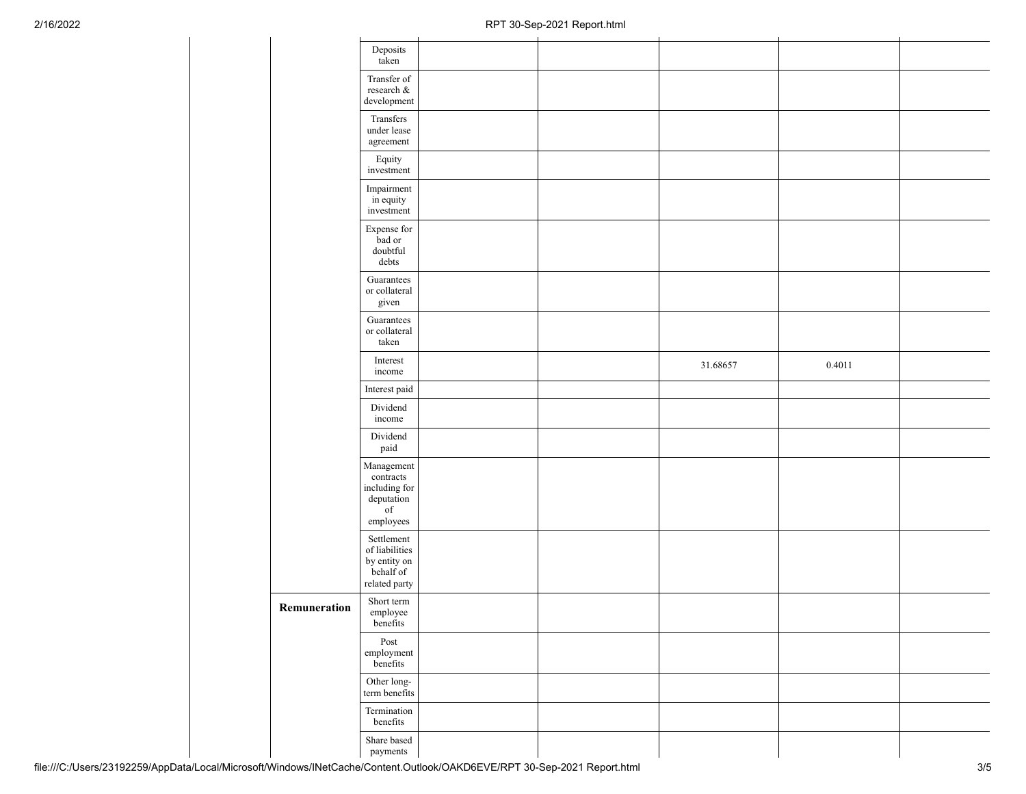|              | Deposits<br>taken                                                                       |  |          |        |  |
|--------------|-----------------------------------------------------------------------------------------|--|----------|--------|--|
|              | Transfer of<br>research $\&$<br>development                                             |  |          |        |  |
|              | Transfers<br>under lease<br>$\!$ agreement                                              |  |          |        |  |
|              | Equity<br>investment                                                                    |  |          |        |  |
|              | Impairment<br>in equity<br>investment                                                   |  |          |        |  |
|              | Expense for<br>bad or<br>$\text{doubtful}$<br>$\rm{debts}$                              |  |          |        |  |
|              | Guarantees<br>or collateral<br>given                                                    |  |          |        |  |
|              | Guarantees<br>or collateral<br>taken                                                    |  |          |        |  |
|              | Interest<br>income                                                                      |  | 31.68657 | 0.4011 |  |
|              | Interest paid                                                                           |  |          |        |  |
|              | Dividend<br>income                                                                      |  |          |        |  |
|              | Dividend<br>paid                                                                        |  |          |        |  |
|              | Management<br>contracts<br>including for<br>deputation<br>$_{\mathrm{of}}$<br>employees |  |          |        |  |
|              | Settlement<br>of liabilities<br>by entity on<br>behalf of<br>related party              |  |          |        |  |
| Remuneration | Short term<br>employee<br>benefits                                                      |  |          |        |  |
|              | Post<br>employment<br>benefits                                                          |  |          |        |  |
|              | Other long-<br>term benefits                                                            |  |          |        |  |
|              | Termination<br>benefits                                                                 |  |          |        |  |
|              | Share based<br>payments                                                                 |  |          |        |  |